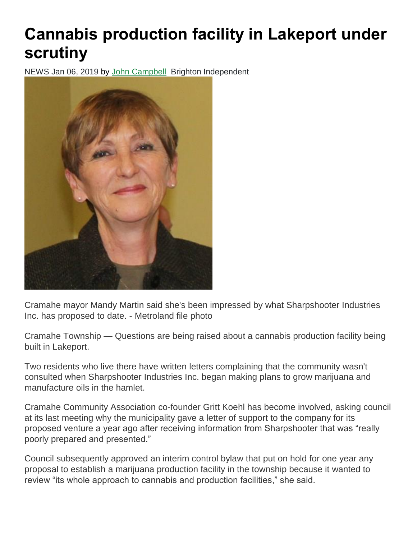## **Cannabis production facility in Lakeport under scrutiny**

NEWS Jan 06, 2019 by [John Campbell](https://www.northumberlandnews.com/northumberlandcounty-author/john-campbell/57D580A4-6843-47EC-958E-21C32FC1BB6A/) Brighton Independent



Cramahe mayor Mandy Martin said she's been impressed by what Sharpshooter Industries Inc. has proposed to date. - Metroland file photo

Cramahe Township — Questions are being raised about a cannabis production facility being built in Lakeport.

Two residents who live there have written letters complaining that the community wasn't consulted when Sharpshooter Industries Inc. began making plans to grow marijuana and manufacture oils in the hamlet.

Cramahe Community Association co-founder Gritt Koehl has become involved, asking council at its last meeting why the municipality gave a letter of support to the company for its proposed venture a year ago after receiving information from Sharpshooter that was "really poorly prepared and presented."

Council subsequently approved an interim control bylaw that put on hold for one year any proposal to establish a marijuana production facility in the township because it wanted to review "its whole approach to cannabis and production facilities," she said.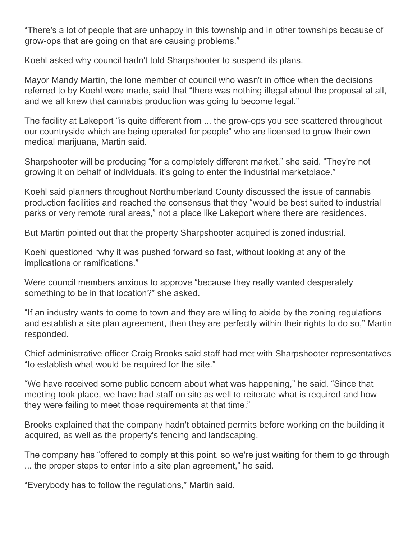"There's a lot of people that are unhappy in this township and in other townships because of grow-ops that are going on that are causing problems."

Koehl asked why council hadn't told Sharpshooter to suspend its plans.

Mayor Mandy Martin, the lone member of council who wasn't in office when the decisions referred to by Koehl were made, said that "there was nothing illegal about the proposal at all, and we all knew that cannabis production was going to become legal."

The facility at Lakeport "is quite different from ... the grow-ops you see scattered throughout our countryside which are being operated for people" who are licensed to grow their own medical marijuana, Martin said.

Sharpshooter will be producing "for a completely different market," she said. "They're not growing it on behalf of individuals, it's going to enter the industrial marketplace."

Koehl said planners throughout Northumberland County discussed the issue of cannabis production facilities and reached the consensus that they "would be best suited to industrial parks or very remote rural areas," not a place like Lakeport where there are residences.

But Martin pointed out that the property Sharpshooter acquired is zoned industrial.

Koehl questioned "why it was pushed forward so fast, without looking at any of the implications or ramifications."

Were council members anxious to approve "because they really wanted desperately something to be in that location?" she asked.

"If an industry wants to come to town and they are willing to abide by the zoning regulations and establish a site plan agreement, then they are perfectly within their rights to do so," Martin responded.

Chief administrative officer Craig Brooks said staff had met with Sharpshooter representatives "to establish what would be required for the site."

"We have received some public concern about what was happening," he said. "Since that meeting took place, we have had staff on site as well to reiterate what is required and how they were failing to meet those requirements at that time."

Brooks explained that the company hadn't obtained permits before working on the building it acquired, as well as the property's fencing and landscaping.

The company has "offered to comply at this point, so we're just waiting for them to go through ... the proper steps to enter into a site plan agreement," he said.

"Everybody has to follow the regulations," Martin said.